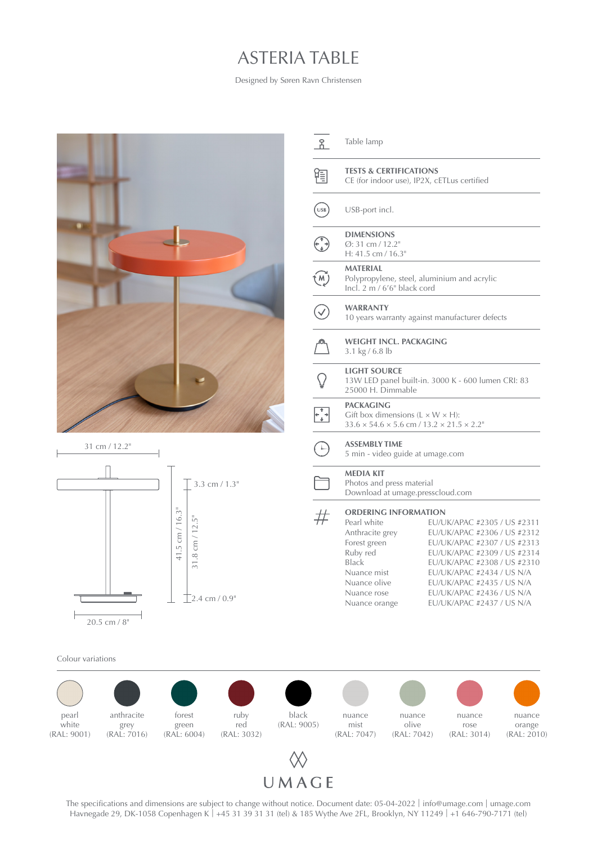## ASTERIA TABLE

Designed by Søren Ravn Christensen





The specifications and dimensions are subject to change without notice. Document date: 05-04-2022 | info@umage.com | umage.com Havnegade 29, DK-1058 Copenhagen K | +45 31 39 31 31 (tel) & 185 Wythe Ave 2FL, Brooklyn, NY 11249 | +1 646-790-7171 (tel)